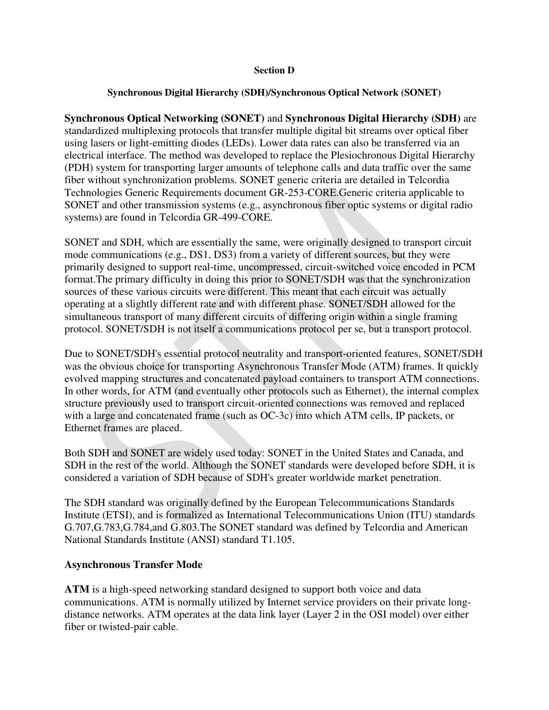## **Section D**

## **Synchronous Digital Hierarchy (SDH)/Synchronous Optical Network (SONET)**

**Synchronous Optical Networking (SONET)** and **Synchronous Digital Hierarchy (SDH)** are standardized multiplexing protocols that transfer multiple digital bit streams over optical fiber using lasers or light-emitting diodes (LEDs). Lower data rates can also be transferred via an electrical interface. The method was developed to replace the Plesiochronous Digital Hierarchy (PDH) system for transporting larger amounts of telephone calls and data traffic over the same fiber without synchronization problems. SONET generic criteria are detailed in Telcordia Technologies Generic Requirements document GR-253-CORE.Generic criteria applicable to SONET and other transmission systems (e.g., asynchronous fiber optic systems or digital radio systems) are found in Telcordia GR-499-CORE.

SONET and SDH, which are essentially the same, were originally designed to transport circuit mode communications (e.g., DS1, DS3) from a variety of different sources, but they were primarily designed to support real-time, uncompressed, circuit-switched voice encoded in PCM format.The primary difficulty in doing this prior to SONET/SDH was that the synchronization sources of these various circuits were different. This meant that each circuit was actually operating at a slightly different rate and with different phase. SONET/SDH allowed for the simultaneous transport of many different circuits of differing origin within a single framing protocol. SONET/SDH is not itself a communications protocol per se, but a transport protocol.

Due to SONET/SDH's essential protocol neutrality and transport-oriented features, SONET/SDH was the obvious choice for transporting Asynchronous Transfer Mode (ATM) frames. It quickly evolved mapping structures and concatenated payload containers to transport ATM connections. In other words, for ATM (and eventually other protocols such as Ethernet), the internal complex structure previously used to transport circuit-oriented connections was removed and replaced with a large and concatenated frame (such as OC-3c) into which ATM cells, IP packets, or Ethernet frames are placed.

Both SDH and SONET are widely used today: SONET in the United States and Canada, and SDH in the rest of the world. Although the SONET standards were developed before SDH, it is considered a variation of SDH because of SDH's greater worldwide market penetration.

The SDH standard was originally defined by the European Telecommunications Standards Institute (ETSI), and is formalized as International Telecommunications Union (ITU) standards G.707,G.783,G.784,and G.803.The SONET standard was defined by Telcordia and American National Standards Institute (ANSI) standard T1.105.

## **Asynchronous Transfer Mode**

**ATM** is a high-speed networking standard designed to support both voice and data communications. ATM is normally utilized by Internet service providers on their private longdistance networks. ATM operates at the data link layer (Layer 2 in the [OSI model\)](https://www.lifewire.com/open-systems-interconnection-model-816290) over either fiber or twisted-pair cable.